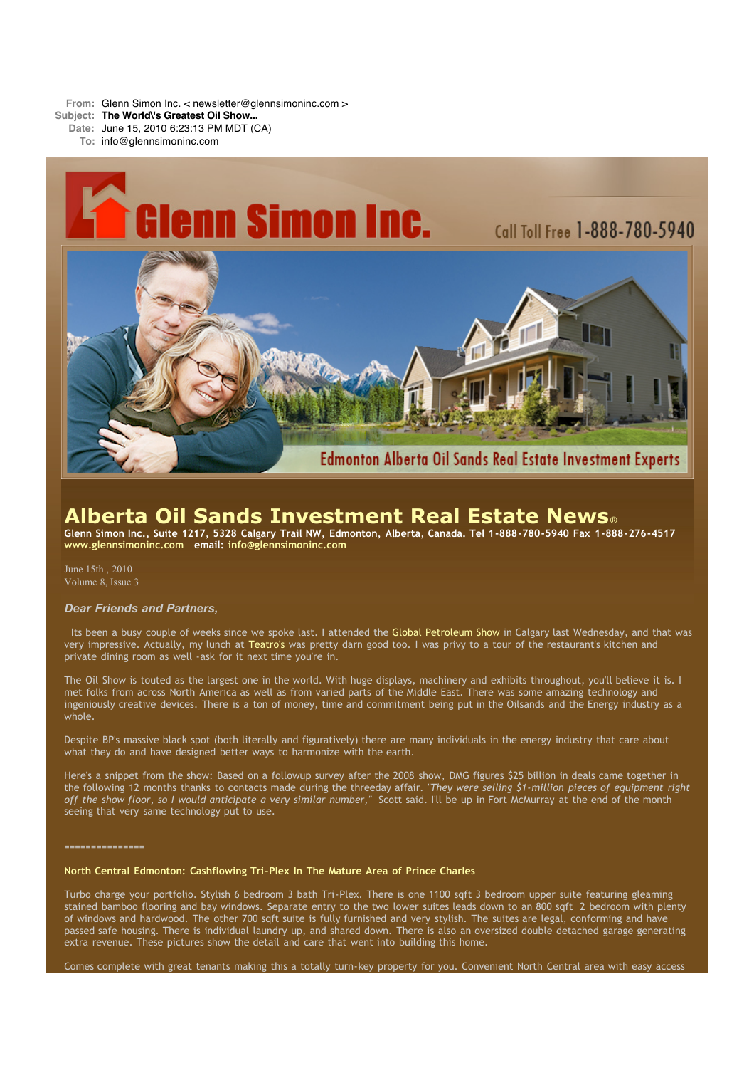**From:** Glenn Simon Inc. < newsletter@glennsimoninc.com >

**Subject: The World\'s Greatest Oil Show...**

**Date:** June 15, 2010 6:23:13 PM MDT (CA)

**To:** info@glennsimoninc.com



# **Alberta Oil Sands Investment Real Estate News**®

Glenn Simon Inc., Suite 1217, 5328 Calgary Trail NW, Edmonton, Alberta, Canada. Tel 1-888-780-5940 Fax 1-888-276-4517 **[www.glennsimoninc.com](http://www.glennsimoninc.com/) email: [info@glennsimoninc.com](mailto:info@glennsimoninc.com)**

June 15th., 2010 Volume 8, Issue 3

## *Dear Friends and Partners,*

Its been a busy couple of weeks since we spoke last. I attended the Global [Petroleum](http://www.edmontonjournal.com/business/Petroleum+show+shines+despite+rainy+weather/3145430/story.html) Show in Calgary last Wednesday, and that was very impressive. Actually, my lunch at [Teatro's](http://www.teatro.ca/main.html) was pretty darn good too. I was privy to a tour of the restaurant's kitchen and private dining room as well -ask for it next time you're in.

The Oil Show is touted as the largest one in the world. With huge displays, machinery and exhibits throughout, you'll believe it is. I met folks from across North America as well as from varied parts of the Middle East. There was some amazing technology and ingeniously creative devices. There is a ton of money, time and commitment being put in the Oilsands and the Energy industry as a whole.

Despite BP's massive black spot (both literally and figuratively) there are many individuals in the energy industry that care about what they do and have designed better ways to harmonize with the earth.

Here's a snippet from the show: Based on a followup survey after the 2008 show, DMG figures \$25 billion in deals came together in the following 12 months thanks to contacts made during the threeday affair. *"They were selling \$1-million pieces of equipment right off the show floor, so I would anticipate a very similar number,"* Scott said. I'll be up in Fort McMurray at the end of the month seeing that very same technology put to use.

#### **North Central Edmonton: Cashflowing Tri-Plex In The Mature Area of Prince Charles**

Turbo charge your portfolio. Stylish 6 bedroom 3 bath Tri-Plex. There is one 1100 sqft 3 bedroom upper suite featuring gleaming stained bamboo flooring and bay windows. Separate entry to the two lower suites leads down to an 800 sqft 2 bedroom with plenty of windows and hardwood. The other 700 sqft suite is fully furnished and very stylish. The suites are legal, conforming and have passed safe housing. There is individual laundry up, and shared down. There is also an oversized double detached garage generating extra revenue. These pictures show the detail and care that went into building this home.

Comes complete with great tenants making this a totally turn-key property for you. Convenient North Central area with easy access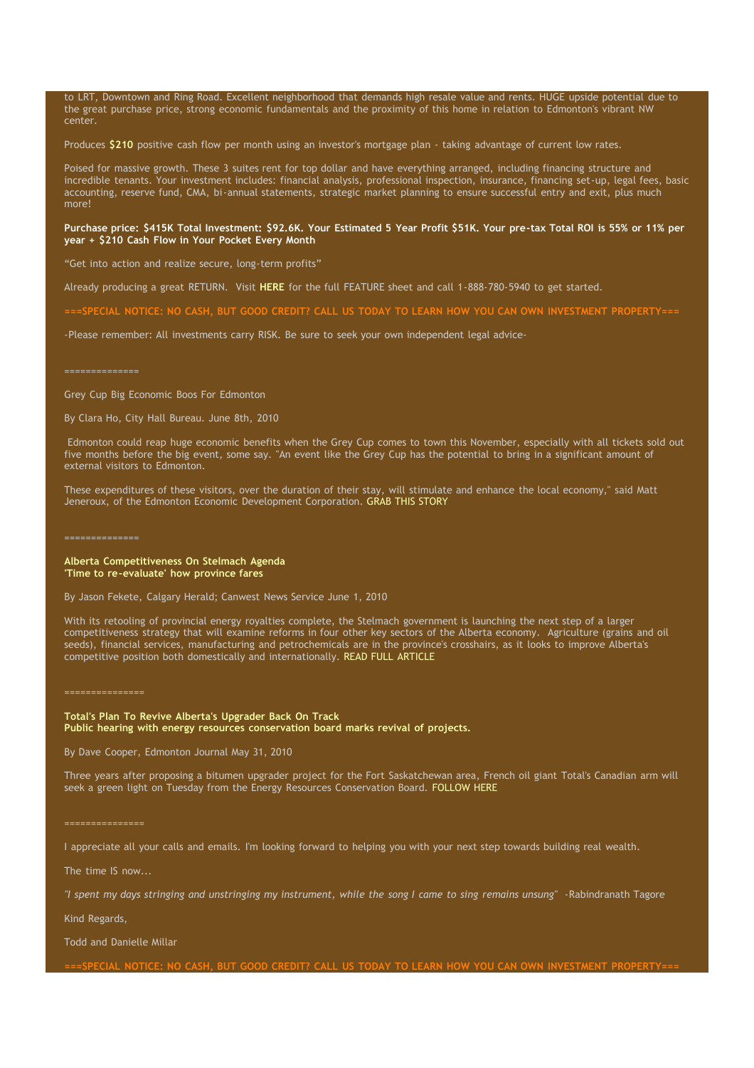to LRT, Downtown and Ring Road. Excellent neighborhood that demands high resale value and rents. HUGE upside potential due to the great purchase price, strong economic fundamentals and the proximity of this home in relation to Edmonton's vibrant NW center.

Produces **[\\$210](http://www.glennsimoninc.com/featured_properties.php)** positive cash flow per month using an investor's mortgage plan - taking advantage of current low rates.

Poised for massive growth. These 3 suites rent for top dollar and have everything arranged, including financing structure and incredible tenants. Your investment includes: financial analysis, professional inspection, insurance, financing set-up, legal fees, basic accounting, reserve fund, CMA, bi-annual statements, strategic market planning to ensure successful entry and exit, plus much more!

#### Purchase price: \$415K Total [Investment:](http://www.glennsimoninc.com/featured_properties.php) \$92.6K. Your Estimated 5 Year Profit \$51K. Your pre-tax Total ROI is 55% or 11% per **year + \$210 Cash Flow in Your Pocket Every Month**

"Get into action and realize secure, long-term profits"

Already producing a great RETURN. Visit **[HERE](http://www.glennsimoninc.com/upload/1275336291_tower.road.quikrpt.pdf)** for the full FEATURE sheet and call 1-888-780-5940 to get started.

-SPECIAL NOTICE; NO CASH, BUT GOOD CREDIT? CALL US TODAY TO LEARN HOW YOU CAN OWN INVESTMENT [PROPERTY===](http://www.myreinspace.com/forums/index.php?showtopic=15535)

-Please remember: All investments carry RISK. Be sure to seek your own independent legal advice-

### Grey Cup Big Economic Boos For Edmonton

By Clara Ho, City Hall Bureau. June 8th, 2010

Edmonton could reap huge economic benefits when the Grey Cup comes to town this November, especially with all tickets sold out five months before the big event, some say. "An event like the Grey Cup has the potential to bring in a significant amount of external visitors to Edmonton.

These expenditures of these visitors, over the duration of their stay, will stimulate and enhance the local economy," said Matt Jeneroux, of the Edmonton Economic Development Corporation. GRAB THIS [STORY](http://www.edmontonsun.com/news/edmonton/2010/06/08/14312726.html)

#### **Alberta Competitiveness On Stelmach Agenda 'Time to re-evaluate' how province fares**

By Jason Fekete, Calgary Herald; Canwest News Service June 1, 2010

With its retooling of provincial energy royalties complete, the Stelmach government is launching the next step of a larger competitiveness strategy that will examine reforms in four other key sectors of the Alberta economy. Agriculture (grains and oil seeds), financial services, manufacturing and petrochemicals are in the province's crosshairs, as it looks to improve Alberta's competitive position both domestically and internationally. READ FULL [ARTICLE](http://www.edmontonjournal.com/business/Alberta+competitiveness+Stelmach+agenda/3095668/story.html)

===============

**Total's Plan To Revive Alberta's Upgrader Back On Track Public hearing with energy resources conservation board marks revival of projects.**

By Dave Cooper, Edmonton Journal May 31, 2010

Three years after proposing a bitumen upgrader project for the Fort Saskatchewan area, French oil giant Total's Canadian arm will seek a green light on Tuesday from the Energy Resources Conservation Board. [FOLLOW](http://www.edmontonjournal.com/business/Total+plans+revive+Alberta+upgrader+back+track/3091664/story.html) HERE

#### ===============

I appreciate all your calls and emails. I'm looking forward to helping you with your next step towards building real wealth.

The time IS now...

"I spent my days stringing and unstringing my instrument, while the song I came to sing remains unsung" -Rabindranath Tagore

Kind Regards,

Todd and Danielle Millar

===SPECIAL NOTICE: NO CASH, BUT GOOD CREDIT? CALL US TODAY TO LEARN HOW YOU CAN OWN INVESTMENT [PROPERTY===](http://www.myreinspace.com/forums/index.php?showtopic=15535)